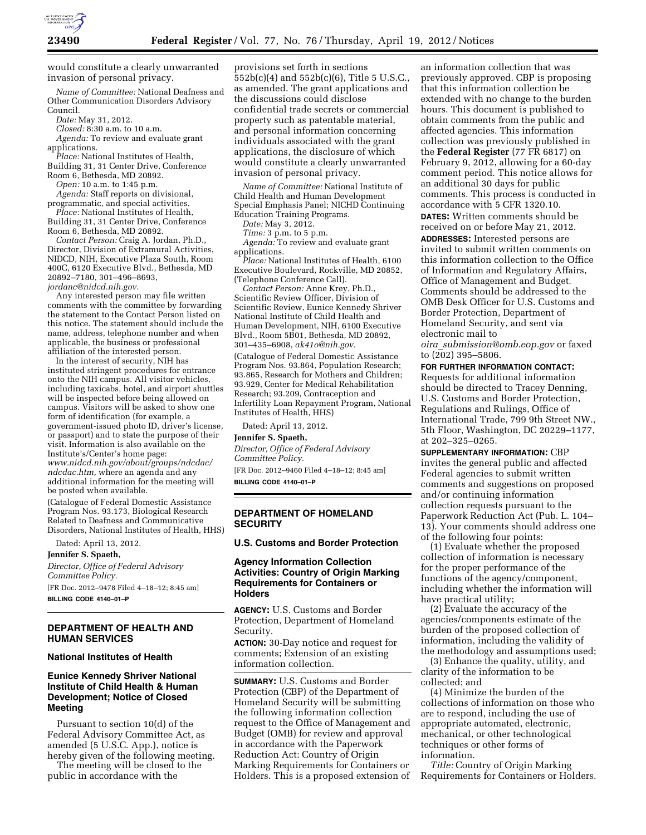

would constitute a clearly unwarranted invasion of personal privacy.

*Name of Committee:* National Deafness and Other Communication Disorders Advisory Council.

*Date:* May 31, 2012.

*Closed:* 8:30 a.m. to 10 a.m.

*Agenda:* To review and evaluate grant applications.

*Place:* National Institutes of Health, Building 31, 31 Center Drive, Conference

Room 6, Bethesda, MD 20892. *Open:* 10 a.m. to 1:45 p.m.

*Agenda:* Staff reports on divisional, programmatic, and special activities.

*Place:* National Institutes of Health, Building 31, 31 Center Drive, Conference Room 6, Bethesda, MD 20892.

*Contact Person:* Craig A. Jordan, Ph.D., Director, Division of Extramural Activities, NIDCD, NIH, Executive Plaza South, Room 400C, 6120 Executive Blvd., Bethesda, MD 20892–7180, 301–496–8693, *[jordanc@nidcd.nih.gov.](mailto:jordanc@nidcd.nih.gov)* 

Any interested person may file written comments with the committee by forwarding the statement to the Contact Person listed on this notice. The statement should include the name, address, telephone number and when applicable, the business or professional affiliation of the interested person.

In the interest of security, NIH has instituted stringent procedures for entrance onto the NIH campus. All visitor vehicles, including taxicabs, hotel, and airport shuttles will be inspected before being allowed on campus. Visitors will be asked to show one form of identification (for example, a government-issued photo ID, driver's license, or passport) and to state the purpose of their visit. Information is also available on the Institute's/Center's home page: *[www.nidcd.nih.gov/about/groups/ndcdac/](http://www.nidcd.nih.gov/about/groups/ndcdac/ndcdac.htm) [ndcdac.htm,](http://www.nidcd.nih.gov/about/groups/ndcdac/ndcdac.htm)* where an agenda and any additional information for the meeting will be posted when available.

(Catalogue of Federal Domestic Assistance Program Nos. 93.173, Biological Research Related to Deafness and Communicative Disorders, National Institutes of Health, HHS)

Dated: April 13, 2012.

#### **Jennifer S. Spaeth,**

*Director, Office of Federal Advisory Committee Policy.*  [FR Doc. 2012–9478 Filed 4–18–12; 8:45 am]

**BILLING CODE 4140–01–P** 

# **DEPARTMENT OF HEALTH AND HUMAN SERVICES**

#### **National Institutes of Health**

## **Eunice Kennedy Shriver National Institute of Child Health & Human Development; Notice of Closed Meeting**

Pursuant to section 10(d) of the Federal Advisory Committee Act, as amended (5 U.S.C. App.), notice is hereby given of the following meeting.

The meeting will be closed to the public in accordance with the

provisions set forth in sections 552b(c)(4) and 552b(c)(6), Title 5 U.S.C., as amended. The grant applications and the discussions could disclose confidential trade secrets or commercial property such as patentable material, and personal information concerning individuals associated with the grant applications, the disclosure of which would constitute a clearly unwarranted invasion of personal privacy.

*Name of Committee:* National Institute of Child Health and Human Development Special Emphasis Panel; NICHD Continuing Education Training Programs.

*Date:* May 3, 2012.

*Time:* 3 p.m. to 5 p.m.

*Agenda:* To review and evaluate grant applications.

*Place:* National Institutes of Health, 6100 Executive Boulevard, Rockville, MD 20852, (Telephone Conference Call).

*Contact Person:* Anne Krey, Ph.D., Scientific Review Officer, Division of Scientific Review, Eunice Kennedy Shriver National Institute of Child Health and Human Development, NIH, 6100 Executive Blvd., Room 5B01, Bethesda, MD 20892, 301–435–6908, *[ak41o@nih.gov.](mailto:ak41o@nih.gov)* 

(Catalogue of Federal Domestic Assistance Program Nos. 93.864, Population Research; 93.865, Research for Mothers and Children; 93.929, Center for Medical Rehabilitation Research; 93.209, Contraception and Infertility Loan Repayment Program, National Institutes of Health, HHS)

Dated: April 13, 2012.

**Jennifer S. Spaeth,** 

*Director, Office of Federal Advisory Committee Policy.*  [FR Doc. 2012–9460 Filed 4–18–12; 8:45 am] **BILLING CODE 4140–01–P** 

## **DEPARTMENT OF HOMELAND SECURITY**

#### **U.S. Customs and Border Protection**

### **Agency Information Collection Activities: Country of Origin Marking Requirements for Containers or Holders**

**AGENCY:** U.S. Customs and Border Protection, Department of Homeland Security.

**ACTION:** 30-Day notice and request for comments; Extension of an existing information collection.

**SUMMARY:** U.S. Customs and Border Protection (CBP) of the Department of Homeland Security will be submitting the following information collection request to the Office of Management and Budget (OMB) for review and approval in accordance with the Paperwork Reduction Act: Country of Origin Marking Requirements for Containers or Holders. This is a proposed extension of

an information collection that was previously approved. CBP is proposing that this information collection be extended with no change to the burden hours. This document is published to obtain comments from the public and affected agencies. This information collection was previously published in the **Federal Register** (77 FR 6817) on February 9, 2012, allowing for a 60-day comment period. This notice allows for an additional 30 days for public comments. This process is conducted in accordance with 5 CFR 1320.10.

**DATES:** Written comments should be received on or before May 21, 2012. **ADDRESSES:** Interested persons are invited to submit written comments on this information collection to the Office of Information and Regulatory Affairs, Office of Management and Budget. Comments should be addressed to the OMB Desk Officer for U.S. Customs and Border Protection, Department of Homeland Security, and sent via electronic mail to

*oira*\_*[submission@omb.eop.gov](mailto:oira_submission@omb.eop.gov)* or faxed to (202) 395–5806.

#### **FOR FURTHER INFORMATION CONTACT:**

Requests for additional information should be directed to Tracey Denning, U.S. Customs and Border Protection, Regulations and Rulings, Office of International Trade, 799 9th Street NW., 5th Floor, Washington, DC 20229–1177, at 202–325–0265.

**SUPPLEMENTARY INFORMATION:** CBP invites the general public and affected Federal agencies to submit written comments and suggestions on proposed and/or continuing information collection requests pursuant to the Paperwork Reduction Act (Pub. L. 104– 13). Your comments should address one of the following four points:

(1) Evaluate whether the proposed collection of information is necessary for the proper performance of the functions of the agency/component, including whether the information will have practical utility;

(2) Evaluate the accuracy of the agencies/components estimate of the burden of the proposed collection of information, including the validity of the methodology and assumptions used;

(3) Enhance the quality, utility, and clarity of the information to be collected; and

(4) Minimize the burden of the collections of information on those who are to respond, including the use of appropriate automated, electronic, mechanical, or other technological techniques or other forms of information.

*Title:* Country of Origin Marking Requirements for Containers or Holders.